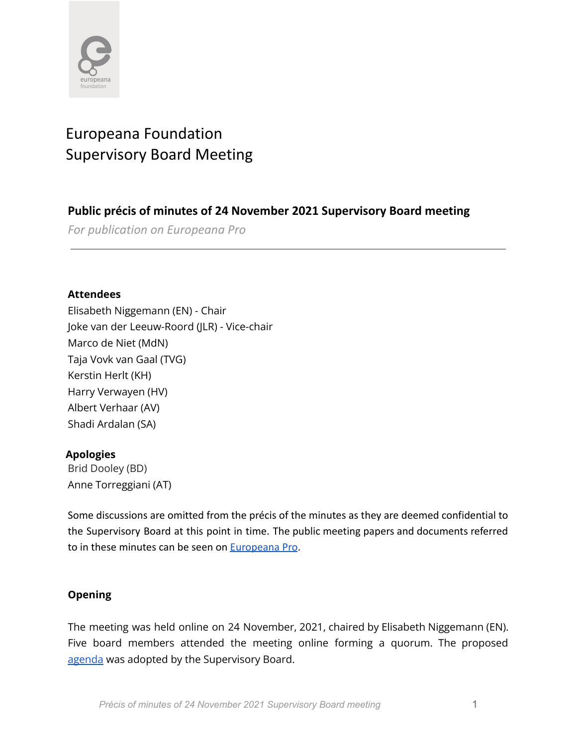

# Europeana Foundation Supervisory Board Meeting

## **Public précis of minutes of 24 November 2021 Supervisory Board meeting**

*For publication on Europeana Pro*

## **Attendees**

Elisabeth Niggemann (EN) - Chair Joke van der Leeuw-Roord (JLR) - Vice-chair Marco de Niet (MdN) Taja Vovk van Gaal (TVG) Kerstin Herlt (KH) Harry Verwayen (HV) Albert Verhaar (AV) Shadi Ardalan (SA)

## **Apologies**

Brid Dooley (BD) Anne Torreggiani (AT)

Some discussions are omitted from the précis of the minutes as they are deemed confidential to the Supervisory Board at this point in time. The public meeting papers and documents referred to in these minutes can be seen on [Europeana Pro](https://pro.europeana.eu/about-us/foundation).

## **Opening**

The meeting was held online on 24 November, 2021, chaired by Elisabeth Niggemann (EN). Five board members attended the meeting online forming a quorum. The proposed [agenda](https://docs.google.com/document/d/1BkaTQbV-ulL68mtNb-bRXI6dQ41K2P_LWdXaH5abUAc/edit) was adopted by the Supervisory Board.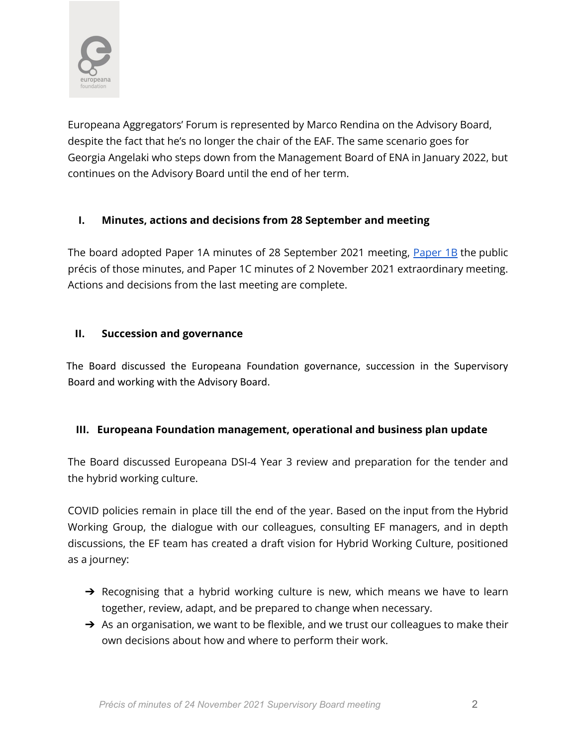

Europeana Aggregators' Forum is represented by Marco Rendina on the Advisory Board, despite the fact that he's no longer the chair of the EAF. The same scenario goes for Georgia Angelaki who steps down from the Management Board of ENA in January 2022, but continues on the Advisory Board until the end of her term.

## **I. Minutes, actions and decisions from 28 September and meeting**

The board adopted [Paper](https://docs.google.com/document/d/13QNxd5yBhZKBvsqeYZmjEjXkTeFguHNX5la8s14l4tY/edit) 1A minutes of 28 September 2021 meeting, Paper 1B the public précis of those minutes, and Paper 1C minutes of 2 November 2021 extraordinary meeting. Actions and decisions from the last meeting are complete.

#### **II. Succession and governance**

The Board discussed the Europeana Foundation governance, succession in the Supervisory Board and working with the Advisory Board.

#### **III. Europeana Foundation management, operational and business plan update**

The Board discussed Europeana DSI-4 Year 3 review and preparation for the tender and the hybrid working culture.

COVID policies remain in place till the end of the year. Based on the input from the Hybrid Working Group, the dialogue with our colleagues, consulting EF managers, and in depth discussions, the EF team has created a draft vision for Hybrid Working Culture, positioned as a journey:

- → Recognising that a hybrid working culture is new, which means we have to learn together, review, adapt, and be prepared to change when necessary.
- $\rightarrow$  As an organisation, we want to be flexible, and we trust our colleagues to make their own decisions about how and where to perform their work.